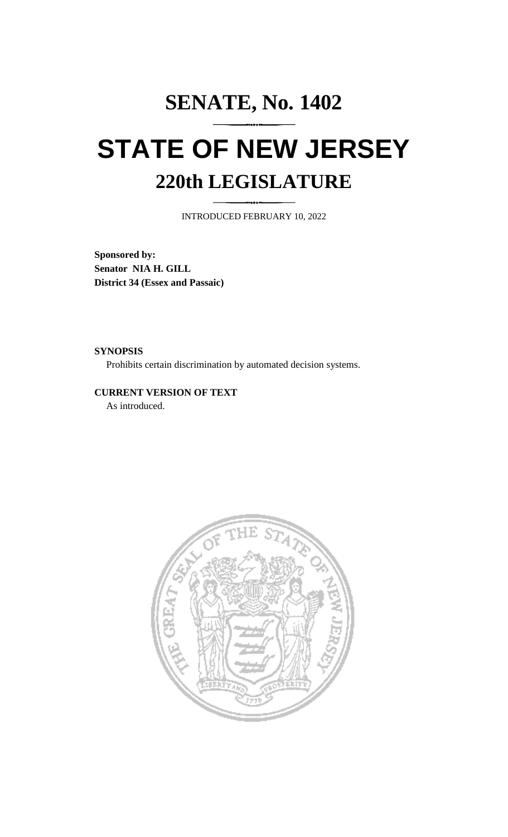## **SENATE, No. 1402 STATE OF NEW JERSEY 220th LEGISLATURE**

INTRODUCED FEBRUARY 10, 2022

**Sponsored by: Senator NIA H. GILL District 34 (Essex and Passaic)**

**SYNOPSIS**

Prohibits certain discrimination by automated decision systems.

**CURRENT VERSION OF TEXT**  As introduced.

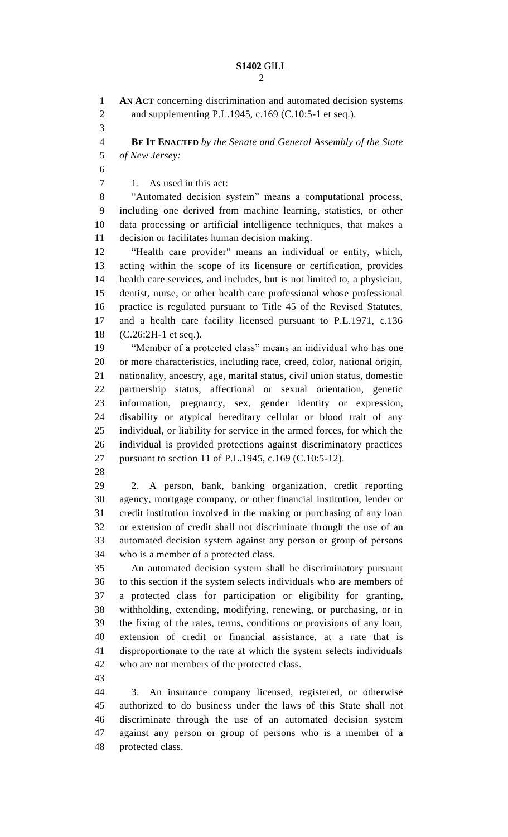## **S1402** GILL

 **AN ACT** concerning discrimination and automated decision systems and supplementing P.L.1945, c.169 (C.10:5-1 et seq.). **BE IT ENACTED** *by the Senate and General Assembly of the State of New Jersey:* 7 1. As used in this act: "Automated decision system" means a computational process, including one derived from machine learning, statistics, or other data processing or artificial intelligence techniques, that makes a decision or facilitates human decision making. "Health care provider" means an individual or entity, which, acting within the scope of its licensure or certification, provides health care services, and includes, but is not limited to, a physician, dentist, nurse, or other health care professional whose professional practice is regulated pursuant to Title 45 of the Revised Statutes, and a health care facility licensed pursuant to P.L.1971, c.136 (C.26:2H-1 et seq.). "Member of a protected class" means an individual who has one or more characteristics, including race, creed, color, national origin, nationality, ancestry, age, marital status, civil union status, domestic partnership status, affectional or sexual orientation, genetic information, pregnancy, sex, gender identity or expression, disability or atypical hereditary cellular or blood trait of any individual, or liability for service in the armed forces, for which the individual is provided protections against discriminatory practices pursuant to section 11 of P.L.1945, c.169 (C.10:5-12). 2. A person, bank, banking organization, credit reporting agency, mortgage company, or other financial institution, lender or credit institution involved in the making or purchasing of any loan or extension of credit shall not discriminate through the use of an automated decision system against any person or group of persons who is a member of a protected class. An automated decision system shall be discriminatory pursuant to this section if the system selects individuals who are members of a protected class for participation or eligibility for granting, withholding, extending, modifying, renewing, or purchasing, or in the fixing of the rates, terms, conditions or provisions of any loan, extension of credit or financial assistance, at a rate that is disproportionate to the rate at which the system selects individuals who are not members of the protected class. 3. An insurance company licensed, registered, or otherwise authorized to do business under the laws of this State shall not discriminate through the use of an automated decision system against any person or group of persons who is a member of a

protected class.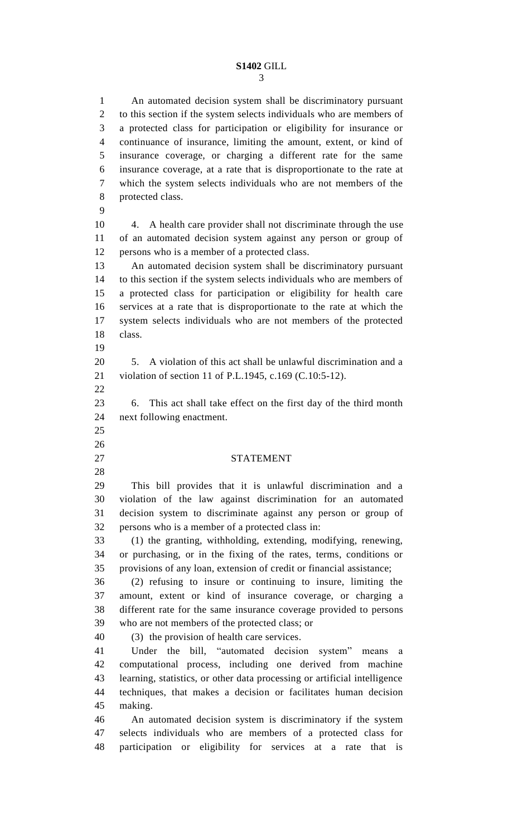## **S1402** GILL

 An automated decision system shall be discriminatory pursuant to this section if the system selects individuals who are members of a protected class for participation or eligibility for insurance or continuance of insurance, limiting the amount, extent, or kind of insurance coverage, or charging a different rate for the same insurance coverage, at a rate that is disproportionate to the rate at which the system selects individuals who are not members of the protected class. 4. A health care provider shall not discriminate through the use of an automated decision system against any person or group of persons who is a member of a protected class. An automated decision system shall be discriminatory pursuant to this section if the system selects individuals who are members of a protected class for participation or eligibility for health care services at a rate that is disproportionate to the rate at which the system selects individuals who are not members of the protected class. 5. A violation of this act shall be unlawful discrimination and a violation of section 11 of P.L.1945, c.169 (C.10:5-12). 6. This act shall take effect on the first day of the third month next following enactment. STATEMENT This bill provides that it is unlawful discrimination and a violation of the law against discrimination for an automated decision system to discriminate against any person or group of persons who is a member of a protected class in: (1) the granting, withholding, extending, modifying, renewing, or purchasing, or in the fixing of the rates, terms, conditions or provisions of any loan, extension of credit or financial assistance; (2) refusing to insure or continuing to insure, limiting the amount, extent or kind of insurance coverage, or charging a different rate for the same insurance coverage provided to persons who are not members of the protected class; or (3) the provision of health care services. Under the bill, "automated decision system" means a computational process, including one derived from machine learning, statistics, or other data processing or artificial intelligence techniques, that makes a decision or facilitates human decision making. An automated decision system is discriminatory if the system selects individuals who are members of a protected class for participation or eligibility for services at a rate that is